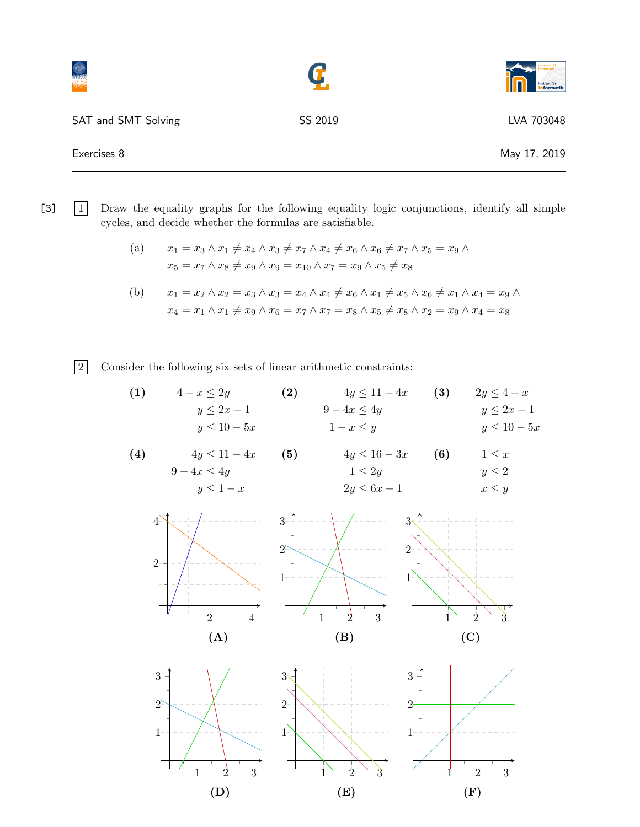|                     |         | universitä<br>innsbruck<br>institut für<br><b>informatik</b> |
|---------------------|---------|--------------------------------------------------------------|
| SAT and SMT Solving | SS 2019 | LVA 703048                                                   |
| Exercises 8         |         | May 17, 2019                                                 |

[3]  $\boxed{1}$  Draw the equality graphs for the following equality logic conjunctions, identify all simple cycles, and decide whether the formulas are satisfiable.

(a) 
$$
x_1 = x_3 \land x_1 \neq x_4 \land x_3 \neq x_7 \land x_4 \neq x_6 \land x_6 \neq x_7 \land x_5 = x_9 \land x_5 = x_7 \land x_8 \neq x_9 \land x_9 = x_{10} \land x_7 = x_9 \land x_5 \neq x_8
$$

(b) 
$$
x_1 = x_2 \land x_2 = x_3 \land x_3 = x_4 \land x_4 \neq x_6 \land x_1 \neq x_5 \land x_6 \neq x_1 \land x_4 = x_9 \land x_4 = x_1 \land x_1 \neq x_9 \land x_6 = x_7 \land x_7 = x_8 \land x_5 \neq x_8 \land x_2 = x_9 \land x_4 = x_8
$$

2 Consider the following six sets of linear arithmetic constraints:

(1) 
$$
4-x \le 2y
$$
  
\n $y \le 2x - 1$   
\n $y \le 10 - 5x$   
\n(2)  $4y \le 11 - 4x$   
\n $9 - 4x \le 4y$   
\n $1 - x \le y$   
\n(3)  $2y \le 4 - x$   
\n $y \le 2x - 1$   
\n $y \le 10 - 5x$ 

(4) 
$$
4y \le 11 - 4x
$$
 (5)  $4y \le 16 - 3x$  (6)  $1 \le x$   
\n $9 - 4x \le 4y$   $1 \le 2y$   $y \le 1 - x$   $2y \le 6x - 1$   $x \le y$